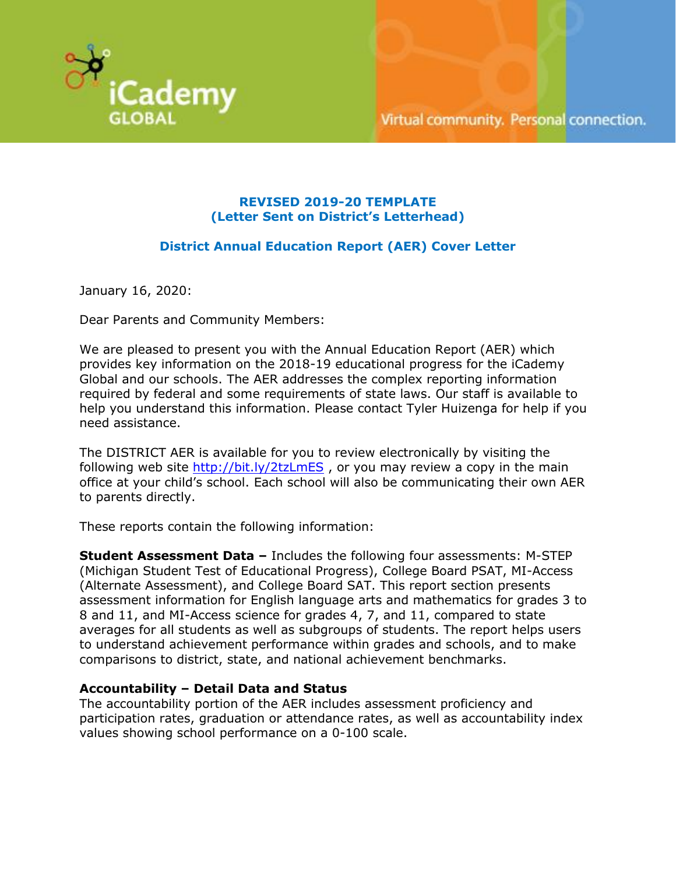

# **REVISED 2019-20 TEMPLATE (Letter Sent on District's Letterhead)**

# **District Annual Education Report (AER) Cover Letter**

January 16, 2020:

Dear Parents and Community Members:

We are pleased to present you with the Annual Education Report (AER) which provides key information on the 2018-19 educational progress for the iCademy Global and our schools. The AER addresses the complex reporting information required by federal and some requirements of state laws. Our staff is available to help you understand this information. Please contact Tyler Huizenga for help if you need assistance.

The DISTRICT AER is available for you to review electronically by visiting the following web site  $\frac{http://bit.ly/2tzLmES}{http://bit.ly/2tzLmES}$ , or you may review a copy in the main office at your child's school. Each school will also be communicating their own AER to parents directly.

These reports contain the following information:

**Student Assessment Data –** Includes the following four assessments: M-STEP (Michigan Student Test of Educational Progress), College Board PSAT, MI-Access (Alternate Assessment), and College Board SAT. This report section presents assessment information for English language arts and mathematics for grades 3 to 8 and 11, and MI-Access science for grades 4, 7, and 11, compared to state averages for all students as well as subgroups of students. The report helps users to understand achievement performance within grades and schools, and to make comparisons to district, state, and national achievement benchmarks.

# **Accountability – Detail Data and Status**

The accountability portion of the AER includes assessment proficiency and participation rates, graduation or attendance rates, as well as accountability index values showing school performance on a 0-100 scale.